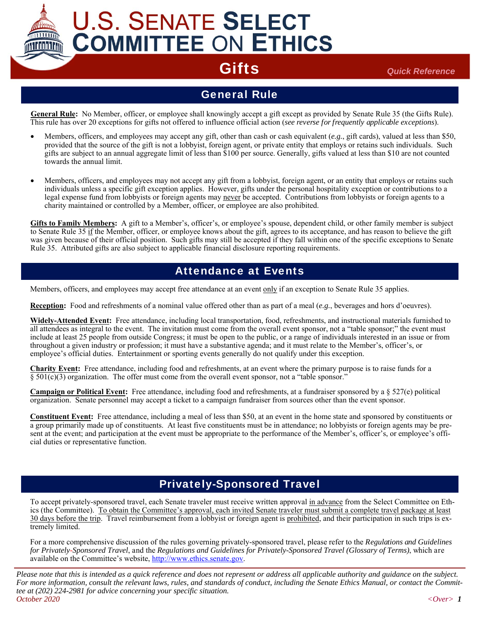# **U.S. SENATE SELECT COMMITTEE ON ETHICS**

Gifts *Quick Reference*

### General Rule

General Rule: No Member, officer, or employee shall knowingly accept a gift except as provided by Senate Rule 35 (the Gifts Rule). This rule has over 20 exceptions for gifts not offered to influence official action (*see reverse for frequently applicable exceptions*).

- Members, officers, and employees may accept any gift, other than cash or cash equivalent (*e.g.*, gift cards), valued at less than \$50, provided that the source of the gift is not a lobbyist, foreign agent, or private entity that employs or retains such individuals. Such gifts are subject to an annual aggregate limit of less than \$100 per source. Generally, gifts valued at less than \$10 are not counted towards the annual limit.
- Members, officers, and employees may not accept any gift from a lobbyist, foreign agent, or an entity that employs or retains such individuals unless a specific gift exception applies. However, gifts under the personal hospitality exception or contributions to a legal expense fund from lobbyists or foreign agents may never be accepted. Contributions from lobbyists or foreign agents to a charity maintained or controlled by a Member, officer, or employee are also prohibited.

**Gifts to Family Members:** A gift to a Member's, officer's, or employee's spouse, dependent child, or other family member is subject to Senate Rule 35 if the Member, officer, or employee knows about the gift, agrees to its acceptance, and has reason to believe the gift was given because of their official position. Such gifts may still be accepted if they fall within one of the specific exceptions to Senate Rule 35. Attributed gifts are also subject to applicable financial disclosure reporting requirements.

### Attendance at Events

Members, officers, and employees may accept free attendance at an event only if an exception to Senate Rule 35 applies.

**Reception:** Food and refreshments of a nominal value offered other than as part of a meal (*e.g.*, beverages and hors d'oeuvres).

**Widely-Attended Event:** Free attendance, including local transportation, food, refreshments, and instructional materials furnished to all attendees as integral to the event. The invitation must come from the overall event sponsor, not a "table sponsor;" the event must include at least 25 people from outside Congress; it must be open to the public, or a range of individuals interested in an issue or from throughout a given industry or profession; it must have a substantive agenda; and it must relate to the Member's, officer's, or employee's official duties. Entertainment or sporting events generally do not qualify under this exception.

**Charity Event:** Free attendance, including food and refreshments, at an event where the primary purpose is to raise funds for a  $§ 501(c)(3)$  organization. The offer must come from the overall event sponsor, not a "table sponsor."

**Campaign or Political Event:** Free attendance, including food and refreshments, at a fundraiser sponsored by a § 527(e) political organization. Senate personnel may accept a ticket to a campaign fundraiser from sources other than the event sponsor.

**Constituent Event:** Free attendance, including a meal of less than \$50, at an event in the home state and sponsored by constituents or a group primarily made up of constituents. At least five constituents must be in attendance; no lobbyists or foreign agents may be present at the event; and participation at the event must be appropriate to the performance of the Member's, officer's, or employee's official duties or representative function.

### Privately-Sponsored Travel

To accept privately-sponsored travel, each Senate traveler must receive written approval in advance from the Select Committee on Ethics (the Committee). To obtain the Committee's approval, each invited Senate traveler must submit a complete travel package at least 30 days before the trip. Travel reimbursement from a lobbyist or foreign agent is prohibited, and their participation in such trips is extremely limited.

For a more comprehensive discussion of the rules governing privately-sponsored travel, please refer to the *Regulations and Guidelines for Privately-Sponsored Travel*, and the *Regulations and Guidelines for Privately-Sponsored Travel (Glossary of Terms)*, which are available on the Committee's website, http://www.ethics.senate.gov.

*Please note that this is intended as a quick reference and does not represent or address all applicable authority and guidance on the subject. For more information, consult the relevant laws, rules, and standards of conduct, including the Senate Ethics Manual, or contact the Committee at (202) 224-2981 for advice concerning your specific situation. October 2020 <Over> 1*